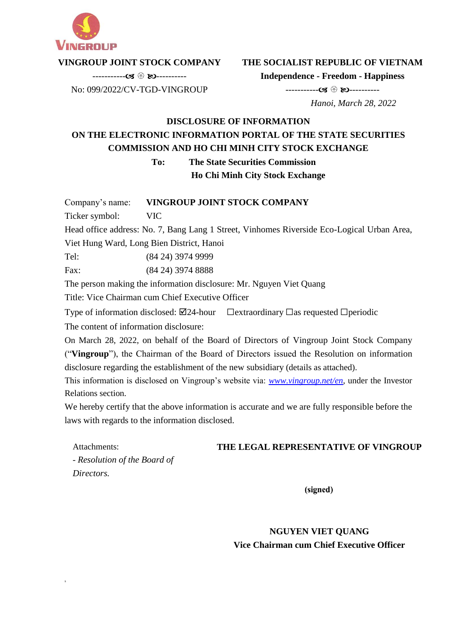

### **VINGROUP JOINT STOCK COMPANY**  ----------- ----------

**THE SOCIALIST REPUBLIC OF VIETNAM Independence - Freedom - Happiness**

----------- ----------

No: 099/2022/CV-TGD-VINGROUP

 *Hanoi, March 28, 2022*

## **DISCLOSURE OF INFORMATION ON THE ELECTRONIC INFORMATION PORTAL OF THE STATE SECURITIES COMMISSION AND HO CHI MINH CITY STOCK EXCHANGE**

**To: The State Securities Commission**

**Ho Chi Minh City Stock Exchange**

Company's name: **VINGROUP JOINT STOCK COMPANY**

Ticker symbol: VIC

s

Head office address: No. 7, Bang Lang 1 Street, Vinhomes Riverside Eco-Logical Urban Area,

Viet Hung Ward, Long Bien District, Hanoi

Tel: (84 24) 3974 9999

Fax: (84 24) 3974 8888

The person making the information disclosure: Mr. Nguyen Viet Quang

Title: Vice Chairman cum Chief Executive Officer

Type of information disclosed:  $\boxtimes$ 24-hour  $\Box$ extraordinary  $\Box$ as requested  $\Box$ periodic The content of information disclosure:

On March 28, 2022, on behalf of the Board of Directors of Vingroup Joint Stock Company ("**Vingroup**"), the Chairman of the Board of Directors issued the Resolution on information disclosure regarding the establishment of the new subsidiary (details as attached).

This information is disclosed on Vingroup's website via: *[www.vingroup.net/en,](http://www.vingroup.net/en)* under the Investor Relations section.

We hereby certify that the above information is accurate and we are fully responsible before the laws with regards to the information disclosed.

| Attachments:                 | THE LEGAL REPRESENTATIVE OF VINGROUP |
|------------------------------|--------------------------------------|
| - Resolution of the Board of |                                      |
| Directors.                   |                                      |

(signed)

# **NGUYEN VIET QUANG Vice Chairman cum Chief Executive Officer**